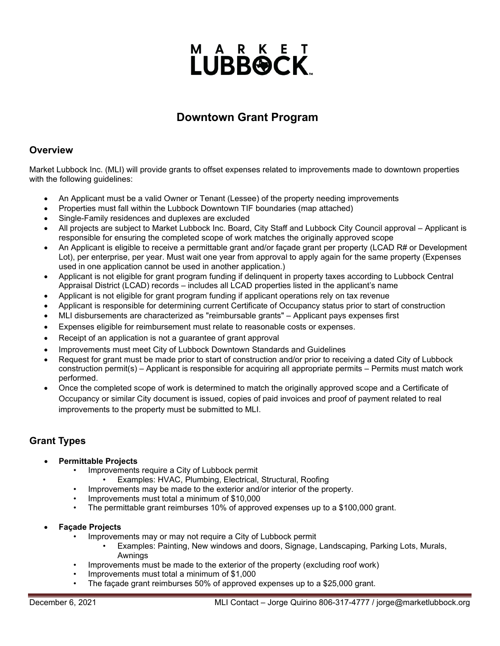# **LUBBOCK**

## **Downtown Grant Program**

#### **Overview**

Market Lubbock Inc. (MLI) will provide grants to offset expenses related to improvements made to downtown properties with the following guidelines:

- An Applicant must be a valid Owner or Tenant (Lessee) of the property needing improvements
- Properties must fall within the Lubbock Downtown TIF boundaries (map attached)
- Single-Family residences and duplexes are excluded
- All projects are subject to Market Lubbock Inc. Board, City Staff and Lubbock City Council approval Applicant is responsible for ensuring the completed scope of work matches the originally approved scope
- An Applicant is eligible to receive a permittable grant and/or façade grant per property (LCAD R# or Development Lot), per enterprise, per year. Must wait one year from approval to apply again for the same property (Expenses used in one application cannot be used in another application.)
- Applicant is not eligible for grant program funding if delinquent in property taxes according to Lubbock Central Appraisal District (LCAD) records – includes all LCAD properties listed in the applicant's name
- Applicant is not eligible for grant program funding if applicant operations rely on tax revenue
- Applicant is responsible for determining current Certificate of Occupancy status prior to start of construction
- MLI disbursements are characterized as "reimbursable grants" Applicant pays expenses first
- Expenses eligible for reimbursement must relate to reasonable costs or expenses.
- Receipt of an application is not a quarantee of grant approval
- Improvements must meet City of Lubbock Downtown Standards and Guidelines
- Request for grant must be made prior to start of construction and/or prior to receiving a dated City of Lubbock construction permit(s) – Applicant is responsible for acquiring all appropriate permits – Permits must match work performed.
- Once the completed scope of work is determined to match the originally approved scope and a Certificate of Occupancy or similar City document is issued, copies of paid invoices and proof of payment related to real improvements to the property must be submitted to MLI.

### **Grant Types**

- **Permittable Projects**
	- Improvements require a City of Lubbock permit
		- Examples: HVAC, Plumbing, Electrical, Structural, Roofing
	- Improvements may be made to the exterior and/or interior of the property.
	- Improvements must total a minimum of \$10,000
	- The permittable grant reimburses 10% of approved expenses up to a \$100,000 grant.

#### • **Façade Projects**

- Improvements may or may not require a City of Lubbock permit
	- Examples: Painting, New windows and doors, Signage, Landscaping, Parking Lots, Murals, Awnings
- Improvements must be made to the exterior of the property (excluding roof work)
- Improvements must total a minimum of \$1,000
- The façade grant reimburses 50% of approved expenses up to a \$25,000 grant.